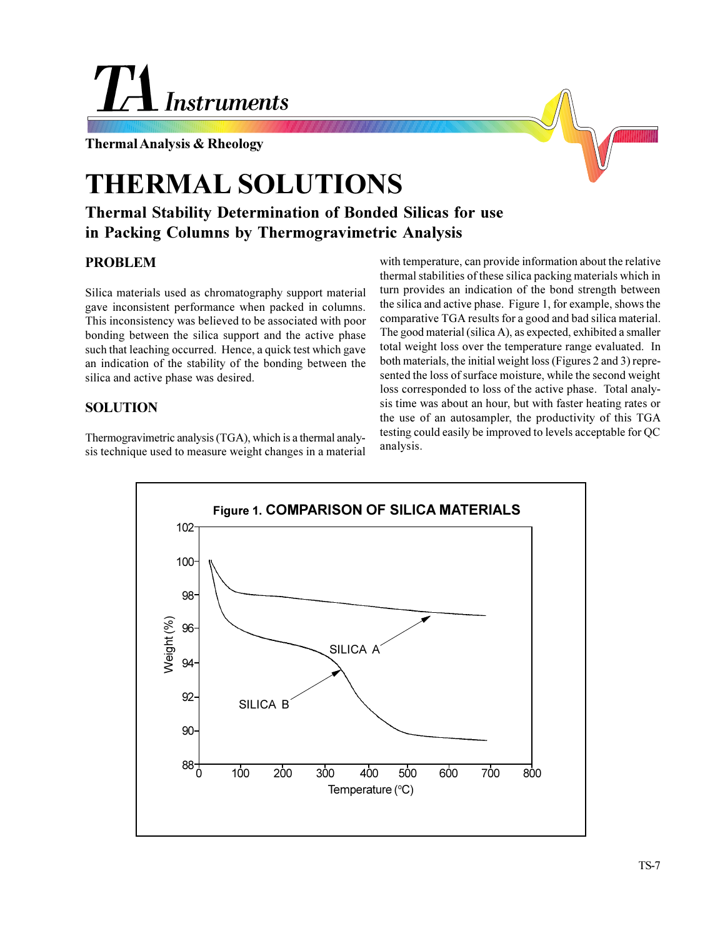## **Instruments**

**Thermal Analysis & Rheology**

## **THERMAL SOLUTIONS**

**Thermal Stability Determination of Bonded Silicas for use in Packing Columns by Thermogravimetric Analysis**

## **PROBLEM**

Silica materials used as chromatography support material gave inconsistent performance when packed in columns. This inconsistency was believed to be associated with poor bonding between the silica support and the active phase such that leaching occurred. Hence, a quick test which gave an indication of the stability of the bonding between the silica and active phase was desired.

## **SOLUTION**

Thermogravimetric analysis (TGA), which is a thermal analysis technique used to measure weight changes in a material

with temperature, can provide information about the relative thermal stabilities of these silica packing materials which in turn provides an indication of the bond strength between the silica and active phase. Figure 1, for example, shows the comparative TGA results for a good and bad silica material. The good material (silica A), as expected, exhibited a smaller total weight loss over the temperature range evaluated. In both materials, the initial weight loss (Figures 2 and 3) represented the loss of surface moisture, while the second weight loss corresponded to loss of the active phase. Total analysis time was about an hour, but with faster heating rates or the use of an autosampler, the productivity of this TGA testing could easily be improved to levels acceptable for QC analysis.